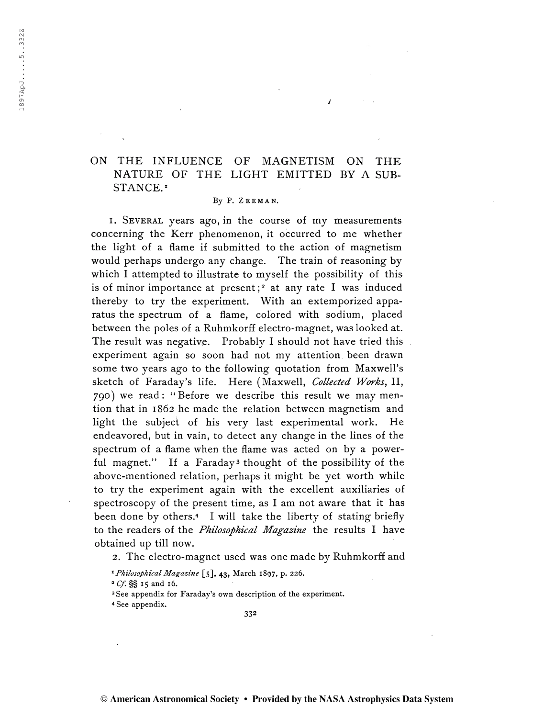# ON THE INFLUENCE OF MAGNETISM ON THE NATURE OF THE LIGHT EMITTED BY A SUB-STANCE.<sup>1</sup>

#### By P. ZEEMAN.

1. Several years ago, in the course of my measurements concerning the Kerr phenomenon, it occurred to me whether the light of a flame if submitted to the action of magnetism would perhaps undergo any change. The train of reasoning by which I attempted to illustrate to myself the possibility of this is of minor importance at present;<sup>2</sup> at any rate I was induced thereby to try the experiment. With an extemporized apparatus the spectrum of a flame, colored with sodium, placed between the poles of a Ruhmkorff electro-magnet, was looked at. The result was negative. Probably I should not have tried this experiment again so soon had not my attention been drawn some two years ago to the following quotation from Maxwell's sketch of Faraday's life. Here (Maxwell, Collected Works, II, 790) we read: "Before we describe this result we may mention that in 1862 he made the relation between magnetism and light the subject of his very last experimental work. He endeavored, but in vain, to detect any change in the lines of the spectrum of a flame when the flame was acted on by a powerful magnet." If a Faraday<sup>3</sup> thought of the possibility of the above-mentioned relation, perhaps it might be yet worth while to try the experiment again with the excellent auxiliaries of spectroscopy of the present time, as I am not aware that it has been done by others.<sup>4</sup> I will take the liberty of stating briefly to the readers of the *Philosophical Magazine* the results I have obtained up till now.

2. The electro-magnet used was one made by Ruhmkorff and

<sup>1</sup> Philosophical Magazine [5], 43, March 1897, p. 226.

 $^2$  Cf.  $S\$  15 and 16.

<sup>3</sup> See appendix for Faraday's own description of the experiment.

4 See appendix.

332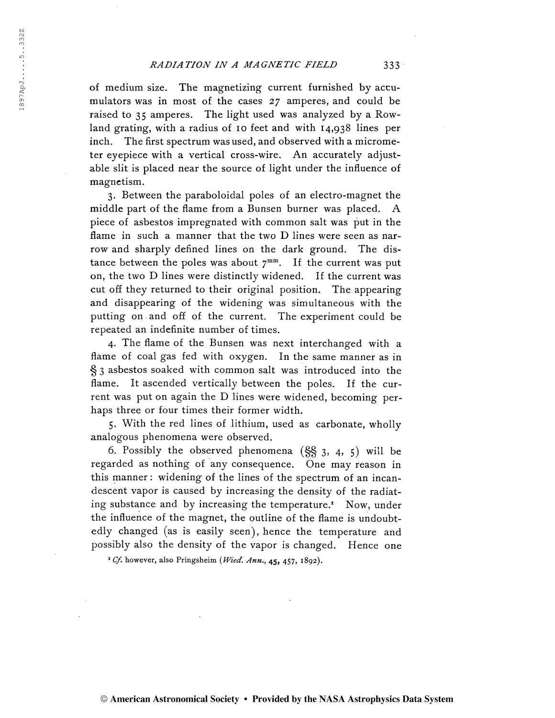of medium size. The magnetizing current furnished by accumulators was in most of the cases 27 amperes, and could be raised to 35 amperes. The light used was analyzed by a Rowland grating, with a radius of 10 feet and with 14,938 lines per inch. The first spectrum was used, and observed with a micrometer eyepiece with a vertical cross-wire. An accurately adjustable slit is placed near the source of light under the influence of magnetism.

3. Between the paraboloidal poles of an electro-magnet the middle part of the flame from a Bunsen burner was placed. A piece of asbestos impregnated with common salt was put in the flame in such a manner that the two D lines were seen as narrow and sharply defined lines on the dark ground. The distance between the poles was about  $7^{mm}$ . If the current was put on, the two D lines were distinctly widened. If the current was cut off they returned to their original position. The appearing and disappearing of the widening was simultaneous with the putting on and off of the current. The experiment could be repeated an indefinite number of times.

4. The flame of the Bunsen was next interchanged with a flame of coal gas fed with oxygen. In the same manner as in § <sup>3</sup> asbestos soaked with common salt was introduced into the flame. It ascended vertically between the poles. If the current was put on again the D lines were widened, becoming perhaps three or four times their former width.

5. With the red lines of lithium, used as carbonate, wholly analogous phenomena were observed.

6. Possibly the observed phenomena  $(\S\S 3, 4, 5)$  will be regarded as nothing of any consequence. One may reason in this manner : widening of the lines of the spectrum of an incandescent vapor is caused by increasing the density of the radiating substance and by increasing the temperature.<sup>1</sup> Now, under the influence of the magnet, the outline of the flame is undoubtedly changed (as is easily seen), hence the temperature and possibly also the density of the vapor is changed. Hence one

<sup>1</sup> Cf. however, also Pringsheim (Wied. Ann.,  $45, 457, 1892$ ).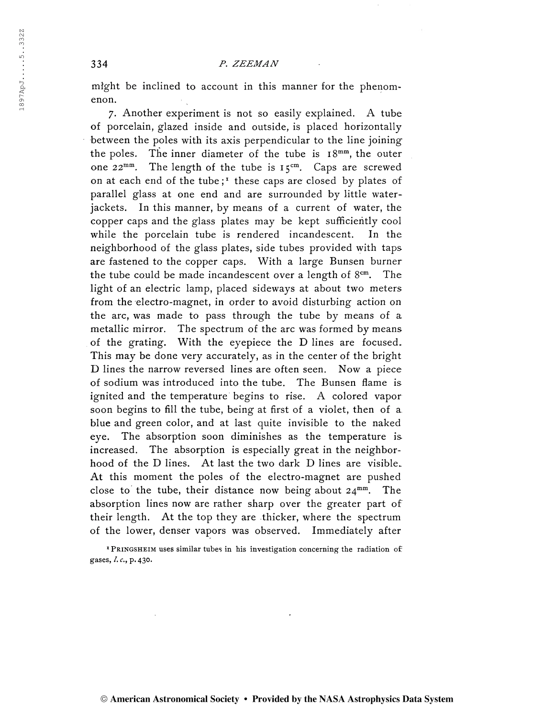might be inclined to account in this manner for the phenomenon.

7. Another experiment is not so easily explained. A tube of porcelain, glazed inside and outside, is placed horizontally between the poles with its axis perpendicular to the line joining the poles. The inner diameter of the tube is  $18^{mm}$ , the outer one  $22^{mm}$ . . The length of the tube is  $15<sup>cm</sup>$ . Caps are screwed on at each end of the tube;<sup>1</sup> these caps are closed by plates of parallel glass at one end and are surrounded by little waterjackets. In this manner, by means of a current of water, the copper caps and the glass plates may be kept sufficiently cool while the porcelain tube is rendered incandescent. In the neighborhood of the glass plates, side tubes provided with taps are fastened to the copper caps. With a large Bunsen burner the tube could be made incandescent over a length of 8cm. The light of an electric lamp, placed sideways at about two meters from the electro-magnet, in order to avoid disturbing action on the arc, was made to pass through the tube by means of a metallic mirror. The spectrum of the arc was formed by means of the grating. With the eyepiece the D lines are focused. This may be done very accurately, as in the center of the bright D lines the narrow reversed lines are often seen. Now a piece of sodium was introduced into the tube. The Bunsen flame is ignited and the temperature begins to rise. A colored vapor soon begins to fill the tube, being at first of a violet, then of a. blue and green color, and at last quite invisible to the naked eye. The absorption soon diminishes as the temperature is increased. The absorption is especially great in the neighborhood of the D lines. At last the two dark D lines are visible. At this moment the poles of the electro-magnet are pushed close to the tube, their distance now being about  $24^{mm}$ . The absorption lines now are rather sharp over the greater part of their length. At the top they are thicker, where the spectrum of the lower, denser vapors was observed. Immediately after

<sup>1</sup> PRINGSHEIM uses similar tubes in his investigation concerning the radiation of: gases, /. c., p. 430.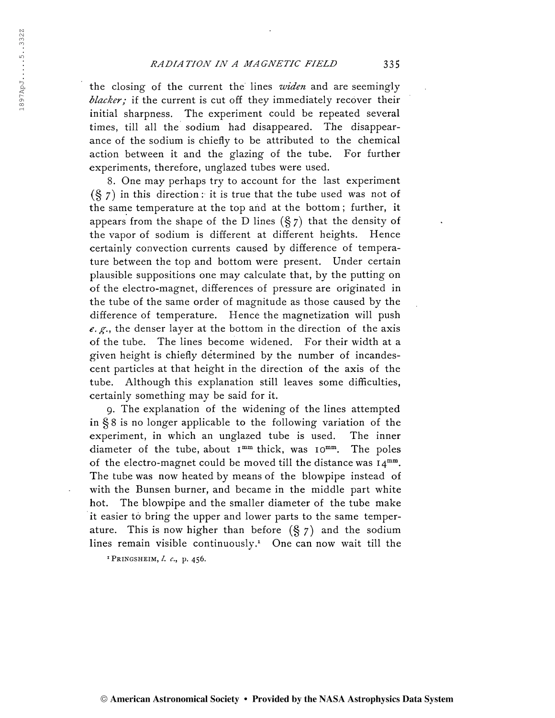the closing of the current the lines widen and are seemingly  $blacker$ ; if the current is cut off they immediately recover their initial sharpness. The experiment could be repeated several times, till all the sodium had disappeared. The disappearance of the sodium is chiefly to be attributed to the chemical action between it and the glazing of the tube. For further experiments, therefore, unglazed tubes were used.

8. One may perhaps try to account for the last experiment  $(\S$  7) in this direction: it is true that the tube used was not of the same temperature at the top and at the bottom ; further, it appears from the shape of the D lines  $(\frac{8}{5})$  that the density of the vapor of sodium is different at different heights. Hence certainly convection currents caused by difference of temperature between the top and bottom were present. Under certain plausible suppositions one may calculate that, by the putting on of the electro-magnet, differences of pressure are originated in the tube of the same order of magnitude as those caused by the difference of temperature. Hence the magnetization will push e. g., the denser layer at the bottom in the direction of the axis of the tube. The lines become widened. For their width at a given height is chiefly determined by the number of incandescent particles at that height in the direction of the axis of the tube. Although this explanation still leaves some difficulties, certainly something may be said for it.

9. The explanation of the widening of the lines attempted in § 8 is no longer applicable to the following variation of the experiment, in which an unglazed tube is used. The inner diameter of the tube, about I<sup>mm</sup> thick, was IO<sup>mm</sup> . The poles of the electro-magnet could be moved till the distance was  $I4^{mm}$ . The tube was now heated by means of the blowpipe instead of with the Bunsen burner, and became in the middle part white hot. The blowpipe and the smaller diameter of the tube make it easier tó bring the upper and lower parts to the same temperature. This is now higher than before  $(\frac{6}{5}, 7)$  and the sodium lines remain visible continuously.<sup>1</sup> One can now wait till the

 $1$  PRINGSHEIM,  $l. c., p. 456$ .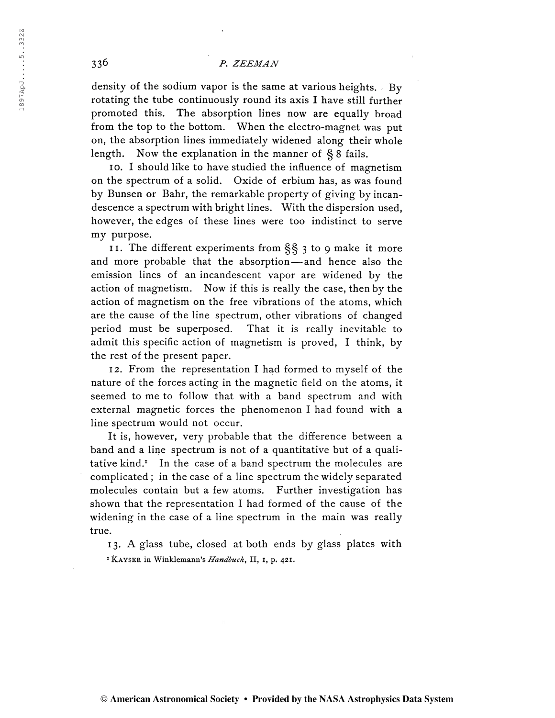density of the sodium vapor is the same at various heights. By rotating the tube continuously round its axis I have still further promoted this. The absorption lines now are equally broad from the top to the bottom. When the electro-magnet was put on, the absorption lines immediately widened along their whole length. Now the explanation in the manner of § 8 fails.

10. I should like to have studied the influence of magnetism on the spectrum of a solid. Oxide of erbium has, as was found by Bunsen or Bahr, the remarkable property of giving by incandescence a spectrum with bright lines. With the dispersion used, however, the edges of these lines were too indistinct to serve my purpose.

11. The different experiments from §§ <sup>3</sup> to 9 make it more and more probable that the absorption—and hence also the emission lines of an incandescent vapor are widened by the action of magnetism. Now if this is really the case, then by the action of magnetism on the free vibrations of the atoms, which are the cause of the line spectrum, other vibrations of changed period must be superposed. That it is really inevitable to admit this specific action of magnetism is proved, I think, by the rest of the present paper.

12. From the representation I had formed to myself of the nature of the forces acting in the magnetic field on the atoms, it seemed to me to follow that with a band spectrum and with external magnetic forces the phenomenon I had found with a line spectrum would not occur.

It is, however, very probable that the difference between a band and a line spectrum is not of a quantitative but of a qualitative kind.<sup>1</sup> In the case of a band spectrum the molecules are complicated ; in the case of a line spectrum the widely separated molecules contain but a few atoms. Further investigation has shown that the representation I had formed of the cause of the widening in the case of a line spectrum in the main was really true.

13. A glass tube, closed at both ends by glass plates with <sup>1</sup> KAYSER in Winklemann's Handbuch, II, 1, p. 421.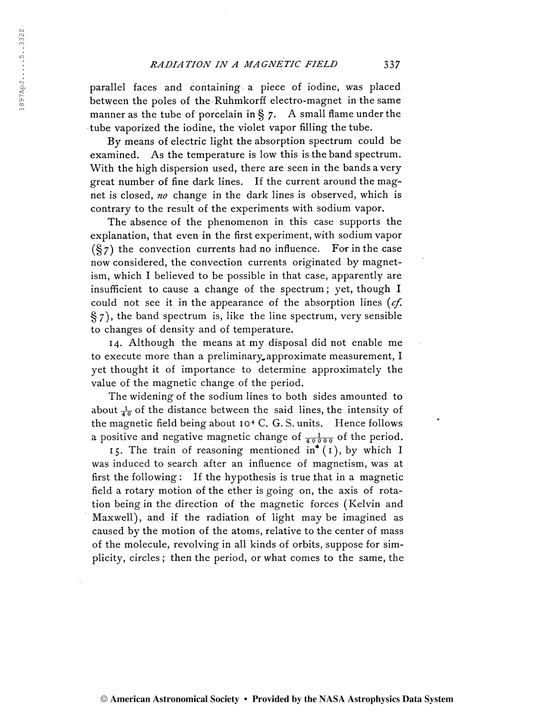# RADIATION IN A MAGNETIC FIELD 337

parallel faces and containing a piece of iodine, was placed between the poles of the Ruhmkorff electro-magnet in the same manner as the tube of porcelain in  $\S$  7. A small flame under the tube vaporized the iodine, the violet vapor filling the tube.

By means of electric light the absorption spectrum could be examined. As the temperature is low this is the band spectrum. With the high dispersion used, there are seen in the bands a very great number of fine dark lines. If the current around the magnet is closed, no change in the dark lines is observed, which is contrary to the result of the experiments with sodium vapor.

The absence of the phenomenon in this case supports the explanation, that even in the first experiment, with sodium vapor  $(\S7)$  the convection currents had no influence. For in the case now considered, the convection currents originated by magnetism, which I believed to be possible in that case, apparently are insufficient to cause a change of the spectrum ; yet, though I could not see it in the appearance of the absorption lines  $(cf.$ §7), the band spectrum is, like the line spectrum, very sensible to changes of density and of temperature.

14. Although the means at my disposal did not enable me to execute more than a preliminary approximate measurement, I yet thought it of importance to determine approximately the value of the magnetic change of the period.

The widening of the sodium lines to both sides amounted to about  $\frac{1}{40}$  of the distance between the said lines, the intensity of the magnetic field being about <sup>10</sup><sup>4</sup> C. G. S. units. Hence follows a positive and negative magnetic change of  $\frac{1}{40000}$  of the period.

15. The train of reasoning mentioned  $in^{\bullet}(1)$ , by which I was induced to search after an influence of magnetism, was at first the following : If the hypothesis is true that in a magnetic field a rotary motion of the ether is going on, the axis of rotation being in the direction of the magnetic forces (Kelvin and Maxwell), and if the radiation of light may be imagined as caused by the motion of the atoms, relative to the center of mass of the molecule, revolving in all kinds of orbits, suppose for simplicity, circles ; then the period, or what comes to the same, the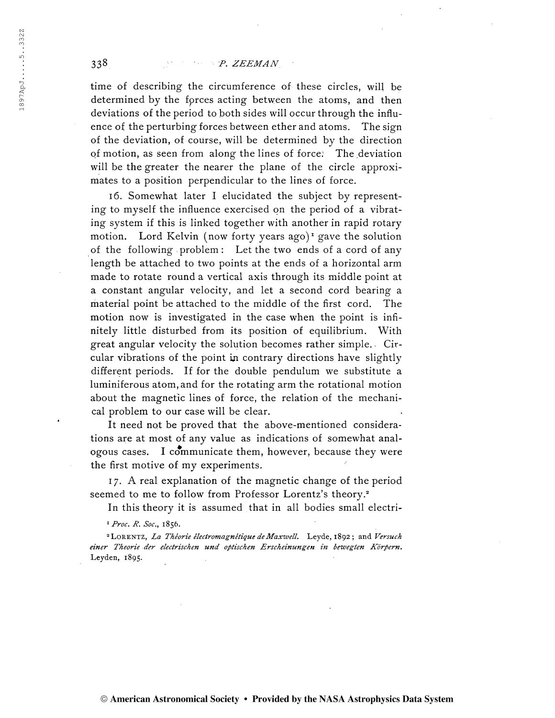time of describing the circumference of these circles, will be determined by the forces acting between the atoms, and then deviations of the period to both sides will occur through the influence of the perturbing forces between ether and atoms. The sign of the deviation, of course, will be determined by the direction of motion, as seen from along the lines of force: The deviation will be the greater the nearer the plane of the circle approximates to a position perpendicular to the lines of force.

16. Somewhat later I elucidated the subject by representing to myself the influence exercised on the period of a vibrating system if this is linked together with another in rapid rotary motion. Lord Kelvin (now forty years ago)<sup>1</sup> gave the solution of the following problem : Let the two ends of a cord of any length be attached to two points at the ends of a horizontal arm made to rotate round a vertical axis through its middle point at a constant angular velocity, and let a second cord bearing a material point be attached to the middle of the first cord. The motion now is investigated in the case when the point is infinitely little disturbed from its position of equilibrium. With great angular velocity the solution becomes rather simple.. Circular vibrations of the point in contrary directions have slightly different periods. If for the double pendulum we substitute a luminiferous atom, and for the rotating arm the rotational motion about the magnetic lines of force, the relation of the mechanical problem to our case will be clear.

It need not be proved that the above-mentioned considerations are at most of any value as indications of somewhat analogous cases. I communicate them, however, because they were the first motive of my experiments.

17. A real explanation of the magnetic change of the period seemed to me to follow from Professor Lorentz's theory.<sup>2</sup>

In this theory it is assumed that in all bodies small electri-

<sup>1</sup> Proc. R. Soc., 1856.

<sup>2</sup> LORENTZ, La Théorie électromagnétique de Maxwell. Leyde, 1892; and Versuch einer Theorie der electrischen und optischen Erscheinungen in bewegten Körpern. Leyden, 1895.

© American Astronomical Society • Provided by the NASA Astrophysics Data System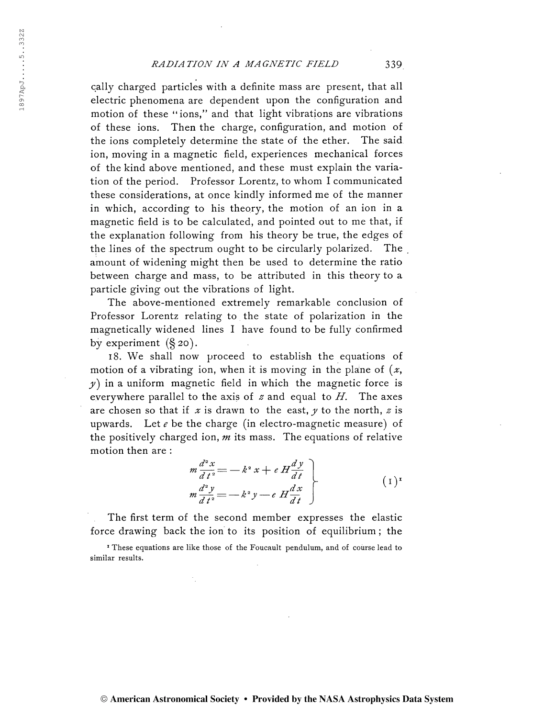### RADIATION IN A MAGNETIC FIELD 339

cally charged particles with a definite mass are present, that all electric phenomena are dependent upon the configuration and motion of these "ions," and that light vibrations are vibrations of these ions. Then the charge, configuration, and motion of the ions completely determine the state of the ether. The said ion, moving in a magnetic field, experiences mechanical forces of the kind above mentioned, and these must explain the variation of the period. Professor Lorentz, to whom I communicated these considerations, at once kindly informed me of the manner in which, according to his theory, the motion of an ion in a magnetic field is to be calculated, and pointed out to me that, if the explanation following from his theory be true, the edges of the lines of the spectrum ought to be circularly polarized. The amount of widening might then be used to determine the ratio between charge and mass, to be attributed in this theory to a particle giving out the vibrations of light.

The above-mentioned extremely remarkable conclusion of Professor Lorentz relating to the state of polarization in the magnetically widened lines I have found to be fully confirmed by experiment  $(\S 20)$ .

18. We shall now proceed to establish the equations of motion of a vibrating ion, when it is moving in the plane of  $(x,$  $y$ ) in a uniform magnetic field in which the magnetic force is everywhere parallel to the axis of  $z$  and equal to  $H$ . The axes are chosen so that if x is drawn to the east, y to the north, z is upwards. Let  $e$  be the charge (in electro-magnetic measure) of the positively charged ion,  $m$  its mass. The equations of relative motion then are :

$$
m \frac{d^2 x}{d t^2} = -k^2 x + e H \frac{d y}{d t}
$$
  
\n
$$
m \frac{d^2 y}{d t^2} = -k^2 y - e H \frac{d x}{d t}
$$
 (1)<sup>T</sup>

The first term of the second member expresses the elastic force drawing back the ion to its position of equilibrium ; the

<sup>1</sup> These equations are like those of the Foucault pendulum, and of course lead to similar results.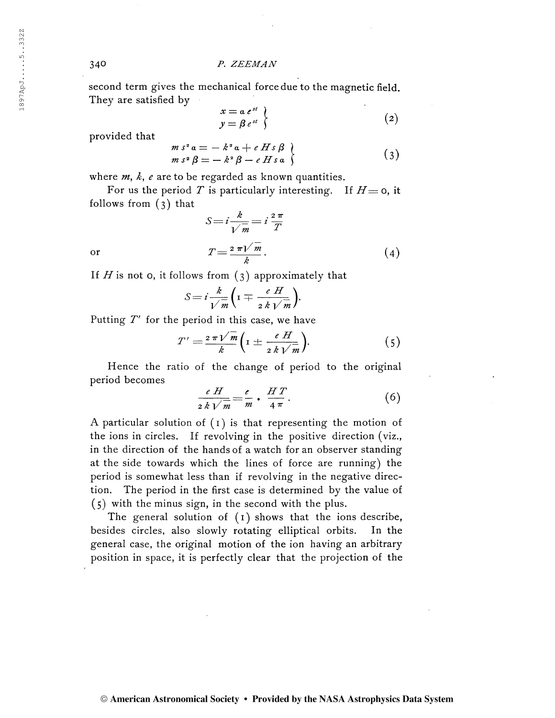second term gives the mechanical force due to the magnetic field. They are satisfied by

$$
x = a e^{st} \n y = \beta e^{st} \tag{2}
$$

provided that

$$
m s2 a = - k2 a + e H s \beta
$$
  
\n
$$
m s2 \beta = - k2 \beta - e H s a
$$
\n(3)

where  $m$ ,  $k$ ,  $e$  are to be regarded as known quantities.

For us the period T is particularly interesting. If  $H = 0$ , it follows from (3) that

$$
S = i\frac{k}{\sqrt{m}} = i\frac{2\pi}{T}
$$
  
or  

$$
T = \frac{2\pi\sqrt{m}}{k}.
$$
 (4)

If  $H$  is not 0, it follows from  $(3)$  approximately that

$$
S = i \frac{k}{\sqrt{m}} \bigg( \mathbf{I} \mp \frac{e \ H}{2 \ k \ \sqrt{m}} \bigg).
$$

Putting  $T'$  for the period in this case, we have

$$
V m \t 2 k V m'
$$
  
therefore period in this case, we have  

$$
T' = \frac{2 \pi V \bar{m}}{k} \left( I \pm \frac{e H}{2 k V \bar{m}} \right).
$$
 (5)

Hence the ratio of the change of period to the original period becomes

$$
\frac{e H}{2 k \sqrt{m}} = \frac{e}{m} \cdot \frac{HT}{4 \pi}.
$$
 (6)

A particular solution of  $(1)$  is that representing the motion of the ions in circles. If revolving in the positive direction (viz., in the direction of the hands of a watch for an observer standing at the side towards which the lines of force are running) the period is somewhat less than if revolving in the negative direction. The period in the first case is determined by the value of (5) with the minus sign, in the second with the plus.

The general solution of (1) shows that the ions describe, besides circles, also slowly rotating elliptical orbits. In the general case, the original motion of the ion having an arbitrary position in space, it is perfectly clear that the projection of the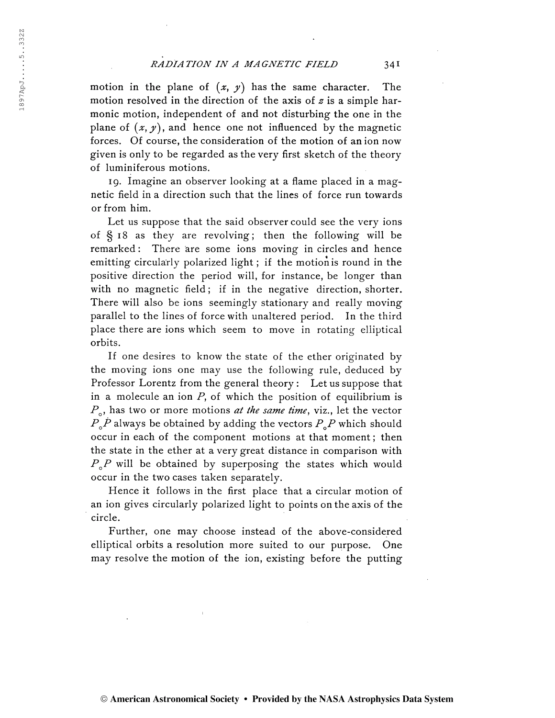# RADIATION IN A MAGNETIC FIELD 341

motion in the plane of  $(x, y)$  has the same character. The motion resolved in the direction of the axis of  $z$  is a simple harmonic motion, independent of and not disturbing the one in the plane of  $(x, y)$ , and hence one not influenced by the magnetic forces. Of course, the consideration of the motion of an ion now given is only to be regarded as the very first sketch of the theory of luminiferous motions.

19. Imagine an observer looking at a flame placed in a magnetic field in a direction such that the lines of force run towards or from him.

Let us suppose that the said observer could see the very ions of § 18 as they are revolving; then the following will be remarked : There are some ions moving in circles and hence emitting circularly polarized light ; if the motion is round in the positive direction the period will, for instance, be longer than with no magnetic field; if in the negative direction, shorter. There will also be ions seemingly stationary and really moving parallel to the lines of force with unaltered period. In the third place there are ions which seem to move in rotating elliptical orbits.

If one desires to know the state of the ether originated by the moving ions one may use the following rule, deduced by Professor Lorentz from the general theory : Let us suppose that in a molecule an ion  $P$ , of which the position of equilibrium is  $\frac{1}{f}$  $P_{\circ}$ , has two or more motions *at the same time*, viz., let the vector  $P_{\alpha}P$  always be obtained by adding the vectors  $P_{\alpha}P$  which should occur in each of the component motions at that moment ; then the state in the ether at a very great distance in comparison with  $P_{\rho}P$  will be obtained by superposing the states which would occur in the two cases taken separately.

Hence it follows in the first place that a circular motion of an ion gives circularly polarized light to points on the axis of the circle.

Further, one may choose instead of the above-considered elliptical orbits a resolution more suited to our purpose. One may resolve the motion of the ion, existing before the putting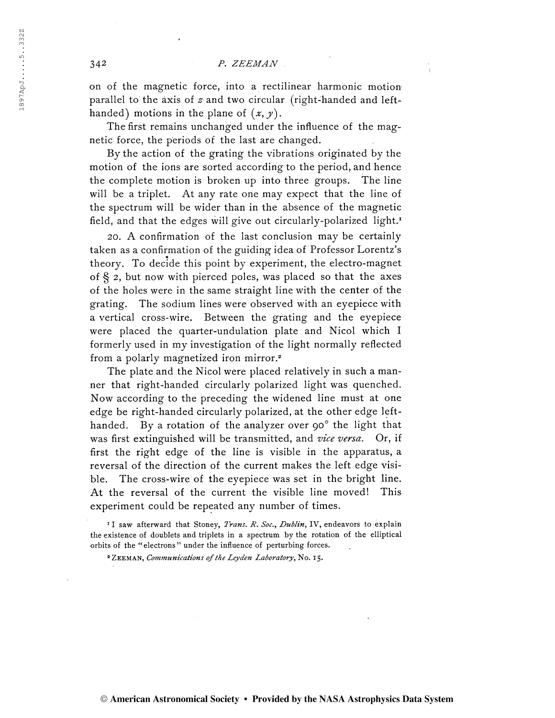on of the magnetic force, into a rectilinear harmonic motion parallel to the axis of  $z$  and two circular (right-handed and lefthanded) motions in the plane of  $(x, y)$ .

The first remains unchanged under the influence of the magnetic force, the periods of the last are changed.

By the action of the grating the vibrations originated by the motion of the ions are sorted according to the period, and hence the complete motion is broken up into three groups. The line will be a triplet. At any rate one may expect that the line of the spectrum will be wider than in the absence of the magnetic field, and that the edges will give out circularly-polarized light.<sup>1</sup>

20. A confirmation of the last conclusion may be certainly taken as a confirmation of the guiding idea of Professor Lorentz's theory. To decide this point by experiment, the electro-magnet of  $\S$  2, but now with pierced poles, was placed so that the axes of the holes were in the same straight line with the center of the grating. The sodium lines were observed with an eyepiece with a vertical cross-wire. Between the grating and the eyepiece were placed the quarter-undulation plate and Nicol which I formerly used in my investigation of the light normally reflected from a polarly magnetized iron mirror.<sup>2</sup>

The plate and the Nicol were placed relatively in such a manner that right-handed circularly polarized light was quenched. Now according to the preceding the widened line must at one edge be right-handed circularly polarized, at the other edge lefthanded. By a rotation of the analyzer over 90° the light that was first extinguished will be transmitted, and vice versa. Or, if first the right edge of the line is visible in the apparatus, a reversal of the direction of the current makes the left edge visible. The cross-wire of the eyepiece was set in the bright line. At the reversal of the current the visible line moved! This experiment could be repeated any number of times.

<sup>&</sup>lt;sup>I</sup> I saw afterward that Stoney, Trans. R. Soc., Dublin, IV, endeavors to explain the existence of doublets and triplets in a spectrum by the rotation of the elliptical orbits of the "electrons" under the influence of perturbing forces.

<sup>&</sup>lt;sup>2</sup> ZEEMAN, Communications of the Leyden Laboratory, No. 15.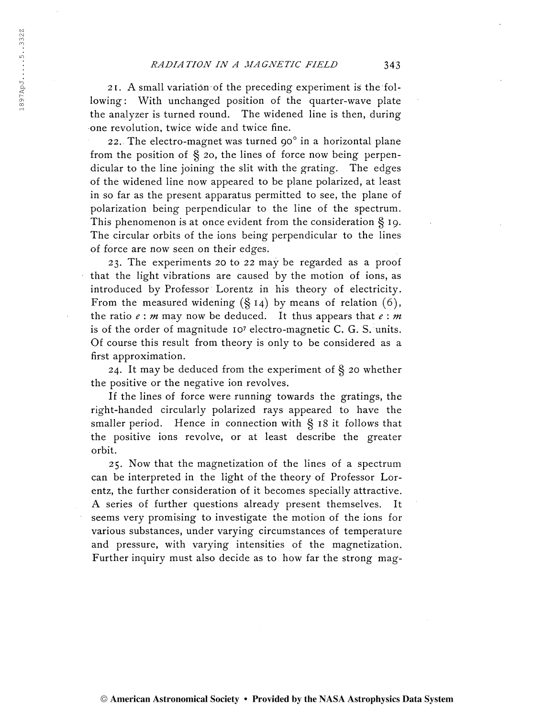$1897$ ApJ.....5..332Z

1897ApJ.....5..332Z

2 1. A small variation of the preceding experiment is the following: With unchanged position of the quarter-wave plate the analyzer is turned round. The widened line is then, during one revolution, twice wide and twice fine.

22. The electro-magnet was turned 90 $^{\circ}$  in a horizontal plane from the position of  $\S$  20, the lines of force now being perpendicular to the line joining the slit with the grating. The edges of the widened line now appeared to be plane polarized, at least in so far as the present apparatus permitted to see, the plane of polarization being perpendicular to the line of the spectrum. This phenomenon is at once evident from the consideration § 19. The circular orbits of the ions being perpendicular to the lines of force are now seen on their edges.

23. The experiments 20 to 22 may be regarded as a proof that the light vibrations are caused by the motion of ions, as introduced by Professor Lorentz in his theory of electricity. From the measured widening  $(\S 14)$  by means of relation  $(6)$ , the ratio  $e : m$  may now be deduced. It thus appears that  $e : m$ is of the order of magnitude 107 electro-magnetic C. G. S. units. Of course this result from theory is only to be considered as a first approximation.

24. It may be deduced from the experiment of § 20 whether the positive or the negative ion revolves.

If the lines of force were running towards the gratings, the right-handed circularly polarized rays appeared to have the smaller period. Hence in connection with  $\S$  18 it follows that the positive ions revolve, or at least describe the greater orbit.

25. Now that the magnetization of the lines of a spectrum can be interpreted in the light of the theory of Professor Lorentz, the further consideration of it becomes specially attractive. A series of further questions already present themselves. It seems very promising to investigate the motion of the ions for various substances, under varying circumstances of temperature and pressure, with varying intensities of the magnetization. Further inquiry must also decide as to how far the strong mag-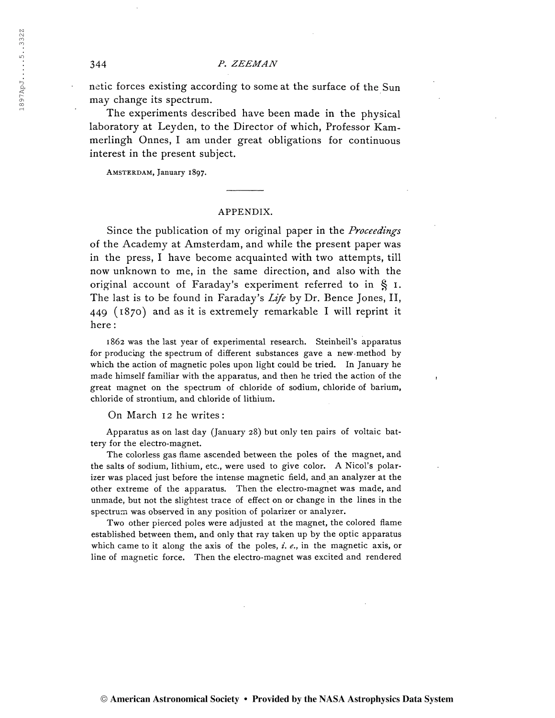netic forces existing according to some at the surface of the Sun may change its spectrum.

The experiments described have been made in the physical laboratory at Leyden, to the Director of which, Professor Kammerlingh Onnes, I am under great obligations for continuous interest in the present subject.

Amsterdam, January 1897.

## APPENDIX.

Since the publication of my original paper in the *Proceedings* of the Academy at Amsterdam, and while the present paper was in the press, I have become acquainted with two attempts, till now unknown to me, in the same direction, and also with the original account of Faraday's experiment referred to in § 1. The last is to be found in Faraday's Life by Dr. Bence Jones, II, 449 (1870) and as it is extremely remarkable I will reprint it here :

1862 was the last year of experimental research. Steinheil's apparatus for producing the spectrum of different substances gave a new-method by which the action of magnetic poles upon light could be tried. In January he made himself familiar with the apparatus, and then he tried the action of the great magnet on the spectrum of chloride of sodium, chloride of barium, chloride of strontium, and chloride of lithium.

On March 12 he writes:

Apparatus as on last day (January 28) but only ten pairs of voltaic battery for the electro-magnet.

The colorless gas flame ascended between the poles of the magnet, and the salts of sodium, lithium, etc., were used to give color. A Nicol's polarizer was placed just before the intense magnetic field, and an analyzer at the other extreme of the apparatus. Then the electro-magnet was made, and unmade, but not the slightest trace of effect on or change in the lines in the spectrum was observed in any position of polarizer or analyzer.

Two other pierced poles were adjusted at the magnet, the colored flame established between them, and only that ray taken up by the optic apparatus which came to it along the axis of the poles,  $i. e.,$  in the magnetic axis, or line of magnetic force. Then the electro-magnet was excited and rendered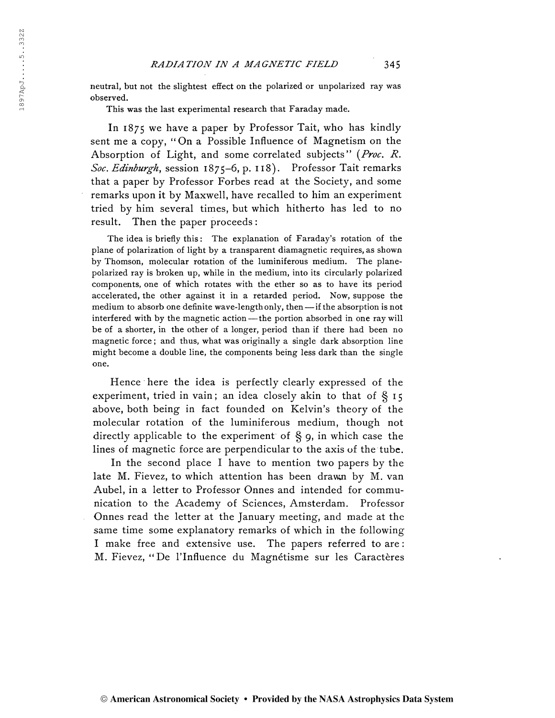neutral, but not the slightest effect on the polarized or unpolarized ray was observed.

This was the last experimental research that Faraday made.

In 1875 we have a paper by Professor Tait, who has kindly sent me a copy, "On a Possible Influence of Magnetism on the Absorption of Light, and some correlated subjects" (*Proc. R.* Soc. Edinburgh, session 1875–6, p. 118). Professor Tait remarks that a paper by Professor Forbes read at the Society, and some remarks upon it by Maxwell, have recalled to him an experiment tried by him several times, but which hitherto has led to no result. Then the paper proceeds :

The idea is briefly this: The explanation of Faraday's rotation of the plane of polarization of light by a transparent diamagnetic requires, as shown by Thomson, molecular rotation of the luminiferous medium. The planepolarized ray is broken up, while in the medium, into its circularly polarized components, one of which rotates with the ether so as to have its period accelerated, the other against it in a retarded period. Now, suppose the medium to absorb one definite wave-length only, then —if the absorption is not interfered with by the magnetic action —the portion absorbed in one ray will be of a shorter, in the other of a longer, period than if there had been no magnetic force ; and thus, what was originally a single dark absorption line might become a double line, the components being less dark than the single one.

Hence here the idea is perfectly clearly expressed of the experiment, tried in vain; an idea closely akin to that of  $\S$  15 above, both being in fact founded on Kelvin's theory of the molecular rotation of the luminiferous medium, though not directly applicable to the experiment of § 9, in which case the lines of magnetic force are perpendicular to the axis of the tube.

In the second place I have to mention two papers by the late M. Fievez, to which attention has been drawn by M. van Aubel, in a letter to Professor Onnes and intended for communication to the Academy of Sciences, Amsterdam. Professor Onnes read the letter at the January meeting, and made at the same time some explanatory remarks of which in the following I make free and extensive use. The papers referred to are : M. Fievez, "De l'Influence du Magnétisme sur les Caractères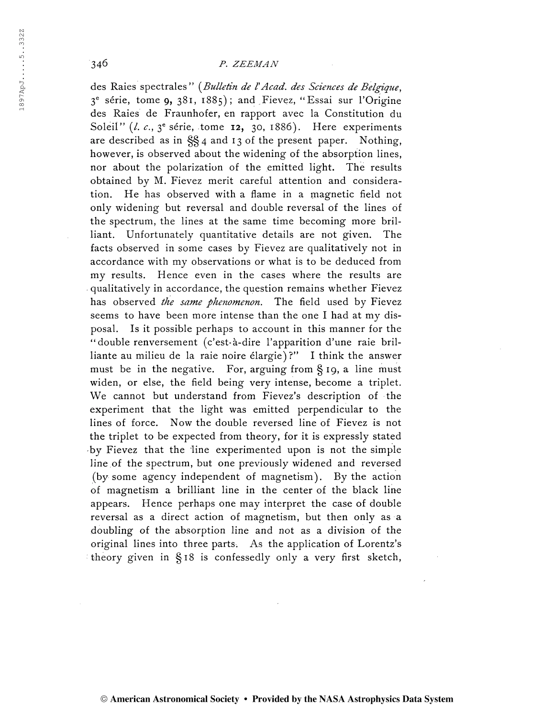des Raies spectrales" (Bulletin de l'Acad, des Sciences de Belgique, 3 e série, tome 9, 381, 1885); and Fievez, "Essai sur l'Origine des Raies de Fraunhofer, en rapport avec la Constitution du Soleil" (l. c.,  $3^e$  série, tome 12, 30, 1886). Here experiments are described as in §§4 and 13 of the present paper. Nothing, however, is observed about the widening of the absorption lines, nor about the polarization of the emitted light. The results obtained by M. Fievez merit careful attention and consideration. He has observed with a flame in a magnetic field not only widening but reversal and double reversal of the lines of the spectrum, the lines at the same time becoming more brilliant. Unfortunately quantitative details are not given. The facts observed in some cases by Fievez are qualitatively not in accordance with my observations or what is to be deduced from my results. Hence even in the cases where the results are qualitatively in accordance, the question remains whether Fievez has observed the same phenomenon. The field used by Fievez seems to have been more intense than the one I had at my disposal. Is it possible perhaps to account in this manner for the "double renversement (c'est-à-dire l'apparition d'une raie brilliante au milieu de la raie noire élargie)?" I think the answer must be in the negative. For, arguing from  $\S$  19, a line must widen, or else, the field being very intense, become a triplet. We cannot but understand from Fievez's description of the experiment that the light was emitted perpendicular to the lines of force. Now the double reversed line of Fievez is not the triplet to be expected from theory, for it is expressly stated by Fievez that the line experimented upon is not the simple line of the spectrum, but one previously widened and reversed (by some agency independent of magnetism). By the action of magnetism a brilliant line in the center of the black line appears. Hence perhaps one may interpret the case of double reversal as a direct action of magnetism, but then only as a doubling of the absorption line and not as a division of the original lines into three parts. As the application of Lorentz's theory given in §18 is confessedly only a very first sketch,